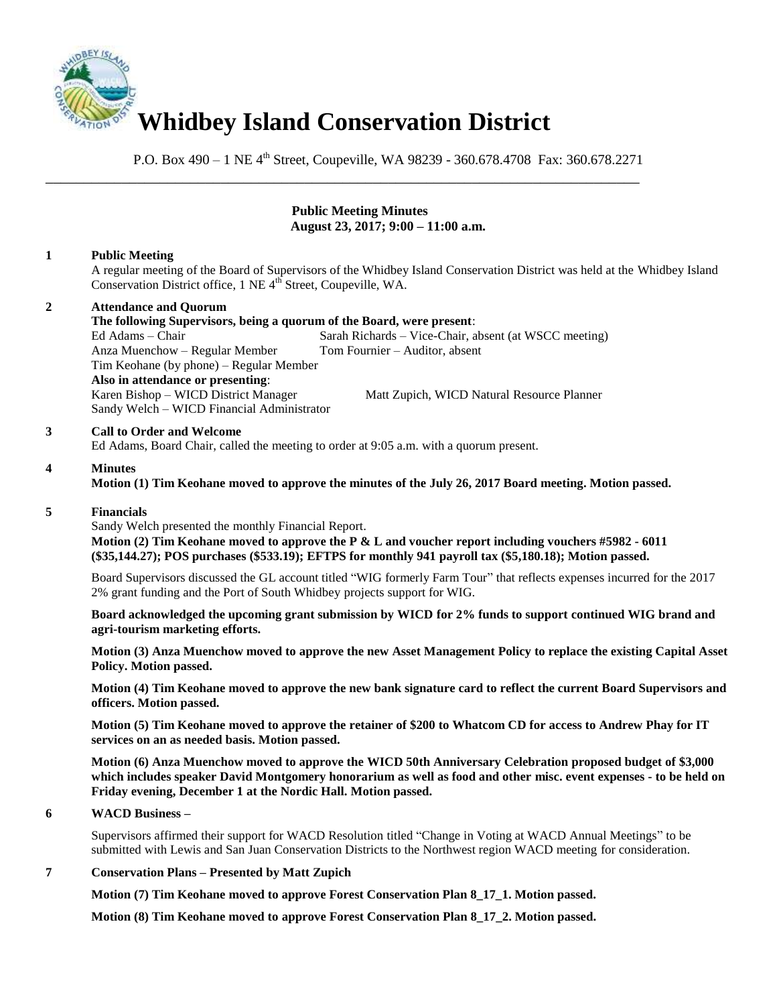

P.O. Box 490 – 1 NE 4<sup>th</sup> Street, Coupeville, WA 98239 - 360.678.4708 Fax: 360.678.2271

\_\_\_\_\_\_\_\_\_\_\_\_\_\_\_\_\_\_\_\_\_\_\_\_\_\_\_\_\_\_\_\_\_\_\_\_\_\_\_\_\_\_\_\_\_\_\_\_\_\_\_\_\_\_\_\_\_\_\_\_\_\_\_\_\_\_\_\_\_\_\_\_\_\_\_\_\_\_

## **Public Meeting Minutes August 23, 2017; 9:00 – 11:00 a.m.**

## **1 Public Meeting**

A regular meeting of the Board of Supervisors of the Whidbey Island Conservation District was held at the Whidbey Island Conservation District office, 1 NE 4<sup>th</sup> Street, Coupeville, WA.

## **2 Attendance and Quorum**

**The following Supervisors, being a quorum of the Board, were present**: Ed Adams – Chair Sarah Richards – Vice-Chair, absent (at WSCC meeting) Anza Muenchow – Regular Member Tom Fournier – Auditor, absent Tim Keohane (by phone) – Regular Member **Also in attendance or presenting**: Karen Bishop – WICD District Manager Matt Zupich, WICD Natural Resource Planner

### **3 Call to Order and Welcome**

Ed Adams, Board Chair, called the meeting to order at 9:05 a.m. with a quorum present.

### **4 Minutes**

**Motion (1) Tim Keohane moved to approve the minutes of the July 26, 2017 Board meeting. Motion passed.** 

#### **5 Financials**

Sandy Welch presented the monthly Financial Report.

Sandy Welch – WICD Financial Administrator

 **Motion (2) Tim Keohane moved to approve the P & L and voucher report including vouchers #5982 - 6011 (\$35,144.27); POS purchases (\$533.19); EFTPS for monthly 941 payroll tax (\$5,180.18); Motion passed.** 

Board Supervisors discussed the GL account titled "WIG formerly Farm Tour" that reflects expenses incurred for the 2017 2% grant funding and the Port of South Whidbey projects support for WIG.

**Board acknowledged the upcoming grant submission by WICD for 2% funds to support continued WIG brand and agri-tourism marketing efforts.** 

**Motion (3) Anza Muenchow moved to approve the new Asset Management Policy to replace the existing Capital Asset Policy. Motion passed.** 

**Motion (4) Tim Keohane moved to approve the new bank signature card to reflect the current Board Supervisors and officers. Motion passed.** 

**Motion (5) Tim Keohane moved to approve the retainer of \$200 to Whatcom CD for access to Andrew Phay for IT services on an as needed basis. Motion passed.** 

**Motion (6) Anza Muenchow moved to approve the WICD 50th Anniversary Celebration proposed budget of \$3,000 which includes speaker David Montgomery honorarium as well as food and other misc. event expenses - to be held on Friday evening, December 1 at the Nordic Hall. Motion passed.** 

#### **6 WACD Business –**

Supervisors affirmed their support for WACD Resolution titled "Change in Voting at WACD Annual Meetings" to be submitted with Lewis and San Juan Conservation Districts to the Northwest region WACD meeting for consideration.

## **7 Conservation Plans – Presented by Matt Zupich**

 **Motion (7) Tim Keohane moved to approve Forest Conservation Plan 8\_17\_1. Motion passed.** 

 **Motion (8) Tim Keohane moved to approve Forest Conservation Plan 8\_17\_2. Motion passed.**